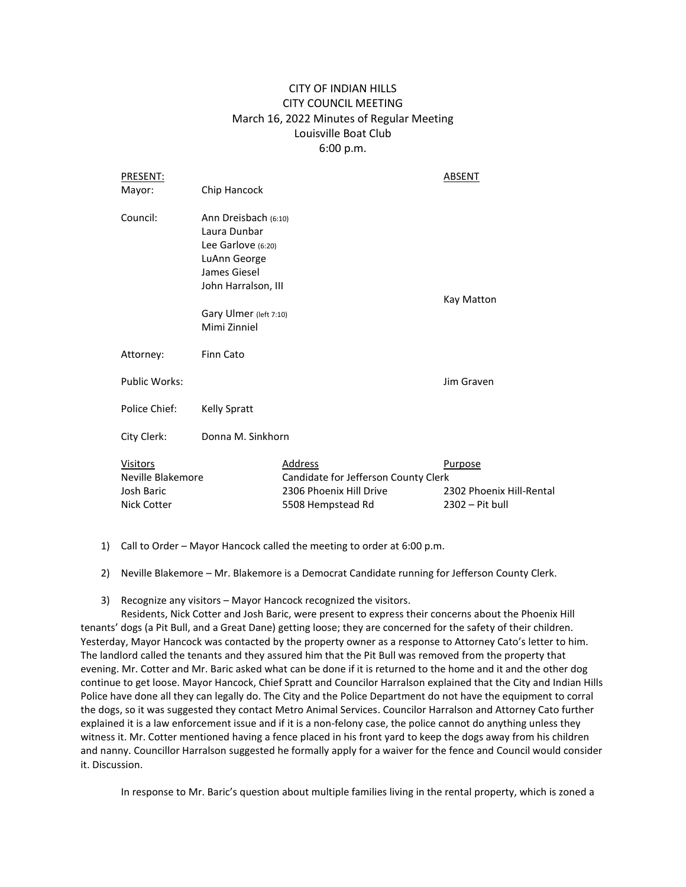## CITY OF INDIAN HILLS CITY COUNCIL MEETING March 16, 2022 Minutes of Regular Meeting Louisville Boat Club 6:00 p.m.

| PRESENT:                                                                 |                                                                                                                   |                                                                                                 | ABSENT                                                 |
|--------------------------------------------------------------------------|-------------------------------------------------------------------------------------------------------------------|-------------------------------------------------------------------------------------------------|--------------------------------------------------------|
| Mayor:                                                                   | Chip Hancock                                                                                                      |                                                                                                 |                                                        |
| Council:                                                                 | Ann Dreisbach (6:10)<br>Laura Dunbar<br>Lee Garlove (6:20)<br>LuAnn George<br>James Giesel<br>John Harralson, III |                                                                                                 | Kay Matton                                             |
|                                                                          | Gary Ulmer (left 7:10)<br>Mimi Zinniel                                                                            |                                                                                                 |                                                        |
|                                                                          |                                                                                                                   |                                                                                                 |                                                        |
| Attorney:                                                                | <b>Finn Cato</b>                                                                                                  |                                                                                                 |                                                        |
| <b>Public Works:</b>                                                     |                                                                                                                   |                                                                                                 | Jim Graven                                             |
| Police Chief:                                                            | Kelly Spratt                                                                                                      |                                                                                                 |                                                        |
| City Clerk:                                                              | Donna M. Sinkhorn                                                                                                 |                                                                                                 |                                                        |
| <b>Visitors</b><br>Neville Blakemore<br>Josh Baric<br><b>Nick Cotter</b> |                                                                                                                   | Address<br>Candidate for Jefferson County Clerk<br>2306 Phoenix Hill Drive<br>5508 Hempstead Rd | Purpose<br>2302 Phoenix Hill-Rental<br>2302 - Pit bull |

- 1) Call to Order Mayor Hancock called the meeting to order at 6:00 p.m.
- 2) Neville Blakemore Mr. Blakemore is a Democrat Candidate running for Jefferson County Clerk.
- 3) Recognize any visitors Mayor Hancock recognized the visitors.

Residents, Nick Cotter and Josh Baric, were present to express their concerns about the Phoenix Hill tenants' dogs (a Pit Bull, and a Great Dane) getting loose; they are concerned for the safety of their children. Yesterday, Mayor Hancock was contacted by the property owner as a response to Attorney Cato's letter to him. The landlord called the tenants and they assured him that the Pit Bull was removed from the property that evening. Mr. Cotter and Mr. Baric asked what can be done if it is returned to the home and it and the other dog continue to get loose. Mayor Hancock, Chief Spratt and Councilor Harralson explained that the City and Indian Hills Police have done all they can legally do. The City and the Police Department do not have the equipment to corral the dogs, so it was suggested they contact Metro Animal Services. Councilor Harralson and Attorney Cato further explained it is a law enforcement issue and if it is a non-felony case, the police cannot do anything unless they witness it. Mr. Cotter mentioned having a fence placed in his front yard to keep the dogs away from his children and nanny. Councillor Harralson suggested he formally apply for a waiver for the fence and Council would consider it. Discussion.

In response to Mr. Baric's question about multiple families living in the rental property, which is zoned a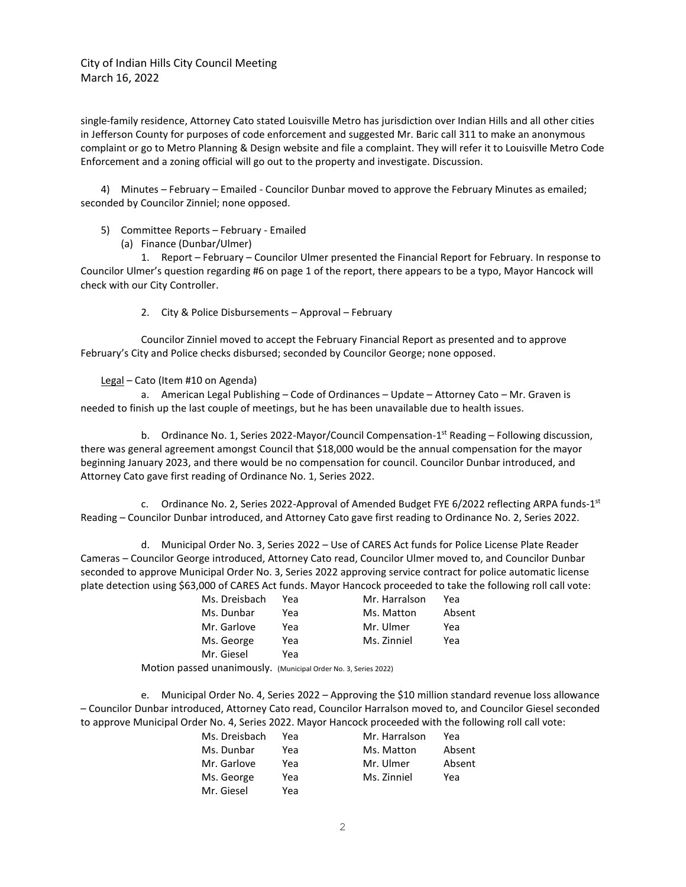City of Indian Hills City Council Meeting March 16, 2022

single-family residence, Attorney Cato stated Louisville Metro has jurisdiction over Indian Hills and all other cities in Jefferson County for purposes of code enforcement and suggested Mr. Baric call 311 to make an anonymous complaint or go to Metro Planning & Design website and file a complaint. They will refer it to Louisville Metro Code Enforcement and a zoning official will go out to the property and investigate. Discussion.

4) Minutes – February – Emailed - Councilor Dunbar moved to approve the February Minutes as emailed; seconded by Councilor Zinniel; none opposed.

5) Committee Reports – February - Emailed

(a) Finance (Dunbar/Ulmer)

1. Report – February – Councilor Ulmer presented the Financial Report for February. In response to Councilor Ulmer's question regarding #6 on page 1 of the report, there appears to be a typo, Mayor Hancock will check with our City Controller.

2. City & Police Disbursements – Approval – February

Councilor Zinniel moved to accept the February Financial Report as presented and to approve February's City and Police checks disbursed; seconded by Councilor George; none opposed.

Legal – Cato (Item #10 on Agenda)

a. American Legal Publishing – Code of Ordinances – Update – Attorney Cato – Mr. Graven is needed to finish up the last couple of meetings, but he has been unavailable due to health issues.

b. Ordinance No. 1, Series 2022-Mayor/Council Compensation-1<sup>st</sup> Reading - Following discussion, there was general agreement amongst Council that \$18,000 would be the annual compensation for the mayor beginning January 2023, and there would be no compensation for council. Councilor Dunbar introduced, and Attorney Cato gave first reading of Ordinance No. 1, Series 2022.

c. Ordinance No. 2, Series 2022-Approval of Amended Budget FYE 6/2022 reflecting ARPA funds-1<sup>st</sup> Reading – Councilor Dunbar introduced, and Attorney Cato gave first reading to Ordinance No. 2, Series 2022.

d. Municipal Order No. 3, Series 2022 – Use of CARES Act funds for Police License Plate Reader Cameras – Councilor George introduced, Attorney Cato read, Councilor Ulmer moved to, and Councilor Dunbar seconded to approve Municipal Order No. 3, Series 2022 approving service contract for police automatic license plate detection using \$63,000 of CARES Act funds. Mayor Hancock proceeded to take the following roll call vote:

| Ms. Dreisbach | Yea | Mr. Harralson | Yea    |
|---------------|-----|---------------|--------|
| Ms. Dunbar    | Yea | Ms. Matton    | Absent |
| Mr. Garlove   | Yea | Mr. Ulmer     | Yea    |
| Ms. George    | Yea | Ms. Zinniel   | Yea    |
| Mr. Giesel    | Yea |               |        |
|               |     |               |        |

Motion passed unanimously. (Municipal Order No. 3, Series 2022)

e. Municipal Order No. 4, Series 2022 – Approving the \$10 million standard revenue loss allowance – Councilor Dunbar introduced, Attorney Cato read, Councilor Harralson moved to, and Councilor Giesel seconded to approve Municipal Order No. 4, Series 2022. Mayor Hancock proceeded with the following roll call vote:

| Ms. Dreisbach | Yea | Mr. Harralson | Yea    |
|---------------|-----|---------------|--------|
| Ms. Dunbar    | Yea | Ms. Matton    | Absent |
| Mr. Garlove   | Yea | Mr. Ulmer     | Absent |
| Ms. George    | Yea | Ms. Zinniel   | Yea    |
| Mr. Giesel    | Yea |               |        |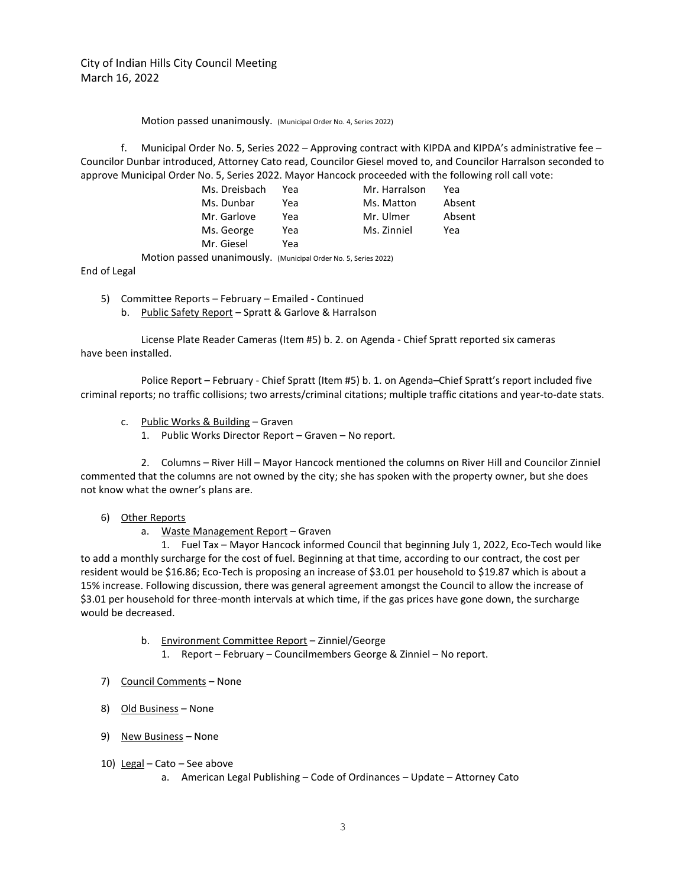## Motion passed unanimously. (Municipal Order No. 4, Series 2022)

f. Municipal Order No. 5, Series 2022 – Approving contract with KIPDA and KIPDA's administrative fee – Councilor Dunbar introduced, Attorney Cato read, Councilor Giesel moved to, and Councilor Harralson seconded to approve Municipal Order No. 5, Series 2022. Mayor Hancock proceeded with the following roll call vote:

| Ms. Dreisbach | Yea | Mr. Harralson | Yea    |
|---------------|-----|---------------|--------|
| Ms. Dunbar    | Yea | Ms. Matton    | Absent |
| Mr. Garlove   | Yea | Mr. Ulmer     | Absent |
| Ms. George    | Yea | Ms. Zinniel   | Yea    |
| Mr. Giesel    | Yea |               |        |
|               |     |               |        |

Motion passed unanimously. (Municipal Order No. 5, Series 2022)

End of Legal

- 5) Committee Reports February Emailed Continued
	- b. Public Safety Report Spratt & Garlove & Harralson

License Plate Reader Cameras (Item #5) b. 2. on Agenda - Chief Spratt reported six cameras have been installed.

Police Report – February - Chief Spratt (Item #5) b. 1. on Agenda–Chief Spratt's report included five criminal reports; no traffic collisions; two arrests/criminal citations; multiple traffic citations and year-to-date stats.

- c. Public Works & Building Graven
	- 1. Public Works Director Report Graven No report.

2. Columns – River Hill – Mayor Hancock mentioned the columns on River Hill and Councilor Zinniel commented that the columns are not owned by the city; she has spoken with the property owner, but she does not know what the owner's plans are.

## 6) Other Reports

a. Waste Management Report – Graven

1. Fuel Tax – Mayor Hancock informed Council that beginning July 1, 2022, Eco-Tech would like to add a monthly surcharge for the cost of fuel. Beginning at that time, according to our contract, the cost per resident would be \$16.86; Eco-Tech is proposing an increase of \$3.01 per household to \$19.87 which is about a 15% increase. Following discussion, there was general agreement amongst the Council to allow the increase of \$3.01 per household for three-month intervals at which time, if the gas prices have gone down, the surcharge would be decreased.

- b. Environment Committee Report Zinniel/George
	- 1. Report February Councilmembers George & Zinniel No report.
- 7) Council Comments None
- 8) Old Business None
- 9) New Business None
- 10) Legal Cato See above
	- a. American Legal Publishing Code of Ordinances Update Attorney Cato